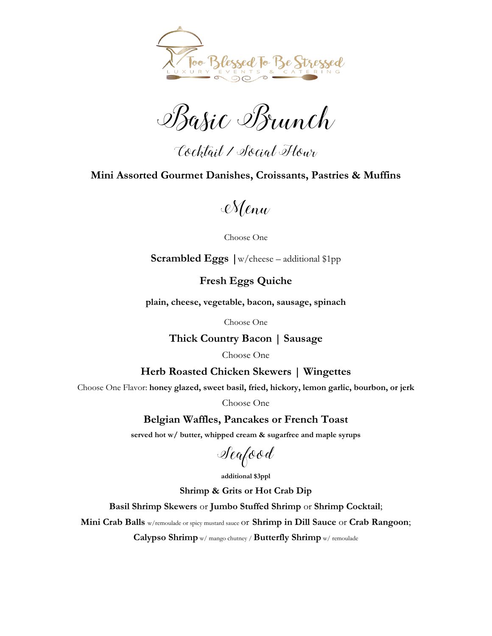

Basic Brunch

Cocktail / Social Hour

## **Mini Assorted Gourmet Danishes, Croissants, Pastries & Muffins**

Menu

Choose One

**Scrambled Eggs |**w/cheese – additional \$1pp

**Fresh Eggs Quiche**

**plain, cheese, vegetable, bacon, sausage, spinach**

Choose One

**Thick Country Bacon | Sausage**

Choose One

**Herb Roasted Chicken Skewers | Wingettes**

Choose One Flavor: **honey glazed, sweet basil, fried, hickory, lemon garlic, bourbon, or jerk**

Choose One

**Belgian Waffles, Pancakes or French Toast**

**served hot w/ butter, whipped cream & sugarfree and maple syrups**

Seafood

**additional \$3ppl**

**Shrimp & Grits or Hot Crab Dip**

**Basil Shrimp Skewers** or **Jumbo Stuffed Shrimp** or **Shrimp Cocktail**;

**Mini Crab Balls** w/remoulade or spicy mustard sauce or **Shrimp in Dill Sauce** or **Crab Rangoon**;

**Calypso Shrimp** w/ mango chutney / **Butterfly Shrimp** w/ remoulade